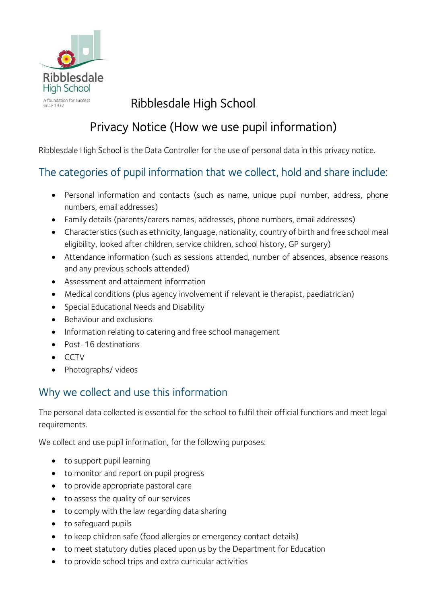

# Ribblesdale High School

# Privacy Notice (How we use pupil information)

Ribblesdale High School is the Data Controller for the use of personal data in this privacy notice.

# The categories of pupil information that we collect, hold and share include:

- Personal information and contacts (such as name, unique pupil number, address, phone numbers, email addresses)
- Family details (parents/carers names, addresses, phone numbers, email addresses)
- Characteristics (such as ethnicity, language, nationality, country of birth and free school meal eligibility, looked after children, service children, school history, GP surgery)
- Attendance information (such as sessions attended, number of absences, absence reasons and any previous schools attended)
- Assessment and attainment information
- Medical conditions (plus agency involvement if relevant ie therapist, paediatrician)
- Special Educational Needs and Disability
- Behaviour and exclusions
- Information relating to catering and free school management
- Post-16 destinations
- CCTV
- Photographs/ videos

# Why we collect and use this information

The personal data collected is essential for the school to fulfil their official functions and meet legal requirements.

We collect and use pupil information, for the following purposes:

- to support pupil learning
- to monitor and report on pupil progress
- to provide appropriate pastoral care
- to assess the quality of our services
- to comply with the law regarding data sharing
- to safeguard pupils
- to keep children safe (food allergies or emergency contact details)
- to meet statutory duties placed upon us by the Department for Education
- to provide school trips and extra curricular activities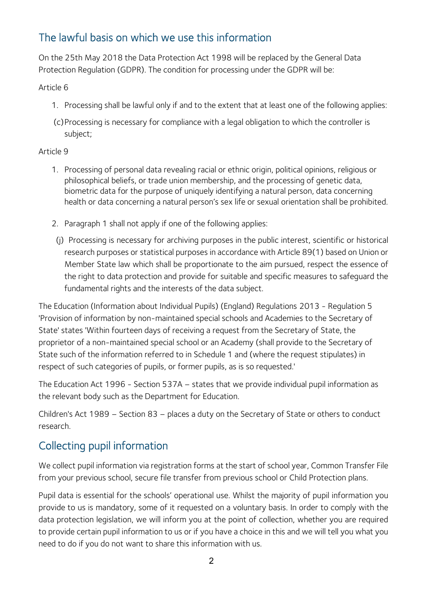# The lawful basis on which we use this information

On the 25th May 2018 the Data Protection Act 1998 will be replaced by the General Data Protection Regulation (GDPR). The condition for processing under the GDPR will be:

Article 6

- 1. Processing shall be lawful only if and to the extent that at least one of the following applies:
- (c) Processing is necessary for compliance with a legal obligation to which the controller is subject;

#### Article 9

- 1. Processing of personal data revealing racial or ethnic origin, political opinions, religious or philosophical beliefs, or trade union membership, and the processing of genetic data, biometric data for the purpose of uniquely identifying a natural person, data concerning health or data concerning a natural person's sex life or sexual orientation shall be prohibited.
- 2. Paragraph 1 shall not apply if one of the following applies:
- (j) Processing is necessary for archiving purposes in the public interest, scientific or historical research purposes or statistical purposes in accordance with Article 89(1) based on Union or Member State law which shall be proportionate to the aim pursued, respect the essence of the right to data protection and provide for suitable and specific measures to safeguard the fundamental rights and the interests of the data subject.

The Education (Information about Individual Pupils) (England) Regulations 2013 - Regulation 5 'Provision of information by non-maintained special schools and Academies to the Secretary of State' states 'Within fourteen days of receiving a request from the Secretary of State, the proprietor of a non-maintained special school or an Academy (shall provide to the Secretary of State such of the information referred to in Schedule 1 and (where the request stipulates) in respect of such categories of pupils, or former pupils, as is so requested.'

The Education Act 1996 - Section 537A – states that we provide individual pupil information as the relevant body such as the Department for Education.

Children's Act 1989 – Section 83 – places a duty on the Secretary of State or others to conduct research.

# Collecting pupil information

We collect pupil information via registration forms at the start of school year, Common Transfer File from your previous school, secure file transfer from previous school or Child Protection plans.

Pupil data is essential for the schools' operational use. Whilst the majority of pupil information you provide to us is mandatory, some of it requested on a voluntary basis. In order to comply with the data protection legislation, we will inform you at the point of collection, whether you are required to provide certain pupil information to us or if you have a choice in this and we will tell you what you need to do if you do not want to share this information with us.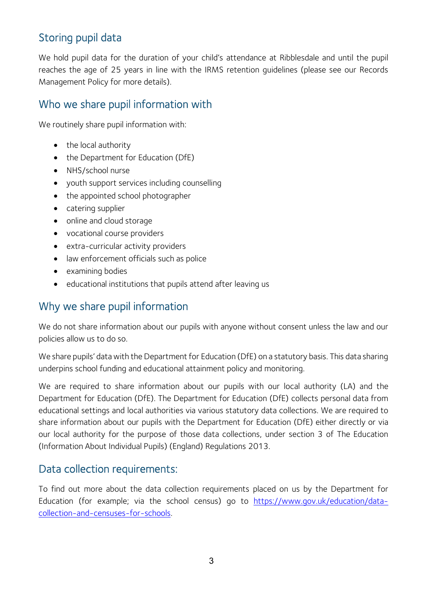## Storing pupil data

We hold pupil data for the duration of your child's attendance at Ribblesdale and until the pupil reaches the age of 25 years in line with the IRMS retention guidelines (please see our Records Management Policy for more details).

#### Who we share pupil information with

We routinely share pupil information with:

- the local authority
- the Department for Education (DfE)
- NHS/school nurse
- youth support services including counselling
- the appointed school photographer
- catering supplier
- online and cloud storage
- vocational course providers
- extra-curricular activity providers
- law enforcement officials such as police
- examining bodies
- educational institutions that pupils attend after leaving us

### Why we share pupil information

We do not share information about our pupils with anyone without consent unless the law and our policies allow us to do so.

We share pupils' data with the Department for Education (DfE) on a statutory basis. This data sharing underpins school funding and educational attainment policy and monitoring.

We are required to share information about our pupils with our local authority (LA) and the Department for Education (DfE). The Department for Education (DfE) collects personal data from educational settings and local authorities via various statutory data collections. We are required to share information about our pupils with the Department for Education (DfE) either directly or via our local authority for the purpose of those data collections, under section 3 of The Education (Information About Individual Pupils) (England) Regulations 2013.

#### Data collection requirements:

To find out more about the data collection requirements placed on us by the Department for Education (for example; via the school census) go to https://www.gov.uk/education/datacollection-and-censuses-for-schools.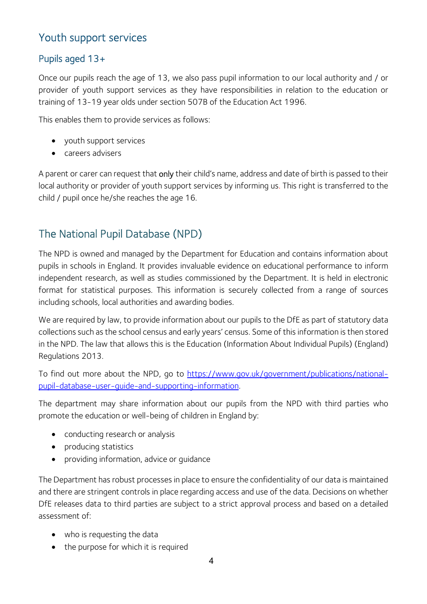### Youth support services

#### Pupils aged 13+

Once our pupils reach the age of 13, we also pass pupil information to our local authority and / or provider of youth support services as they have responsibilities in relation to the education or training of 13-19 year olds under section 507B of the Education Act 1996.

This enables them to provide services as follows:

- youth support services
- careers advisers

A parent or carer can request that only their child's name, address and date of birth is passed to their local authority or provider of youth support services by informing us. This right is transferred to the child / pupil once he/she reaches the age 16.

#### The National Pupil Database (NPD)

The NPD is owned and managed by the Department for Education and contains information about pupils in schools in England. It provides invaluable evidence on educational performance to inform independent research, as well as studies commissioned by the Department. It is held in electronic format for statistical purposes. This information is securely collected from a range of sources including schools, local authorities and awarding bodies.

We are required by law, to provide information about our pupils to the DfE as part of statutory data collections such as the school census and early years' census. Some of this information is then stored in the NPD. The law that allows this is the Education (Information About Individual Pupils) (England) Regulations 2013.

To find out more about the NPD, go to https://www.gov.uk/government/publications/nationalpupil-database-user-guide-and-supporting-information.

The department may share information about our pupils from the NPD with third parties who promote the education or well-being of children in England by:

- conducting research or analysis
- producing statistics
- providing information, advice or guidance

The Department has robust processes in place to ensure the confidentiality of our data is maintained and there are stringent controls in place regarding access and use of the data. Decisions on whether DfE releases data to third parties are subject to a strict approval process and based on a detailed assessment of:

- who is requesting the data
- the purpose for which it is required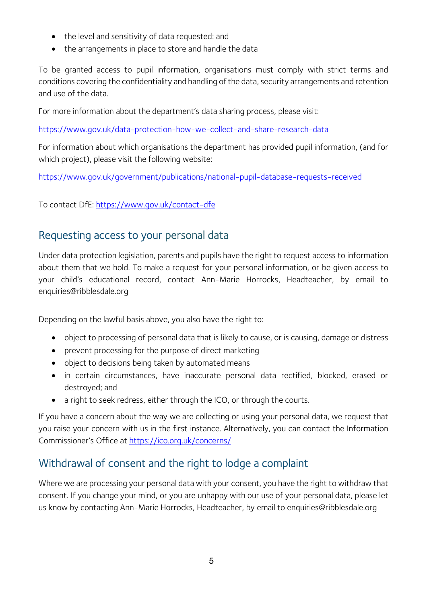- the level and sensitivity of data requested: and
- the arrangements in place to store and handle the data

To be granted access to pupil information, organisations must comply with strict terms and conditions covering the confidentiality and handling of the data, security arrangements and retention and use of the data.

For more information about the department's data sharing process, please visit:

https://www.gov.uk/data-protection-how-we-collect-and-share-research-data

For information about which organisations the department has provided pupil information, (and for which project), please visit the following website:

https://www.gov.uk/government/publications/national-pupil-database-requests-received

To contact DfE: https://www.gov.uk/contact-dfe

#### Requesting access to your personal data

Under data protection legislation, parents and pupils have the right to request access to information about them that we hold. To make a request for your personal information, or be given access to your child's educational record, contact Ann-Marie Horrocks, Headteacher, by email to enquiries@ribblesdale.org

Depending on the lawful basis above, you also have the right to:

- object to processing of personal data that is likely to cause, or is causing, damage or distress
- prevent processing for the purpose of direct marketing
- object to decisions being taken by automated means
- in certain circumstances, have inaccurate personal data rectified, blocked, erased or destroyed; and
- a right to seek redress, either through the ICO, or through the courts.

If you have a concern about the way we are collecting or using your personal data, we request that you raise your concern with us in the first instance. Alternatively, you can contact the Information Commissioner's Office at https://ico.org.uk/concerns/

# Withdrawal of consent and the right to lodge a complaint

Where we are processing your personal data with your consent, you have the right to withdraw that consent. If you change your mind, or you are unhappy with our use of your personal data, please let us know by contacting Ann-Marie Horrocks, Headteacher, by email to enquiries@ribblesdale.org